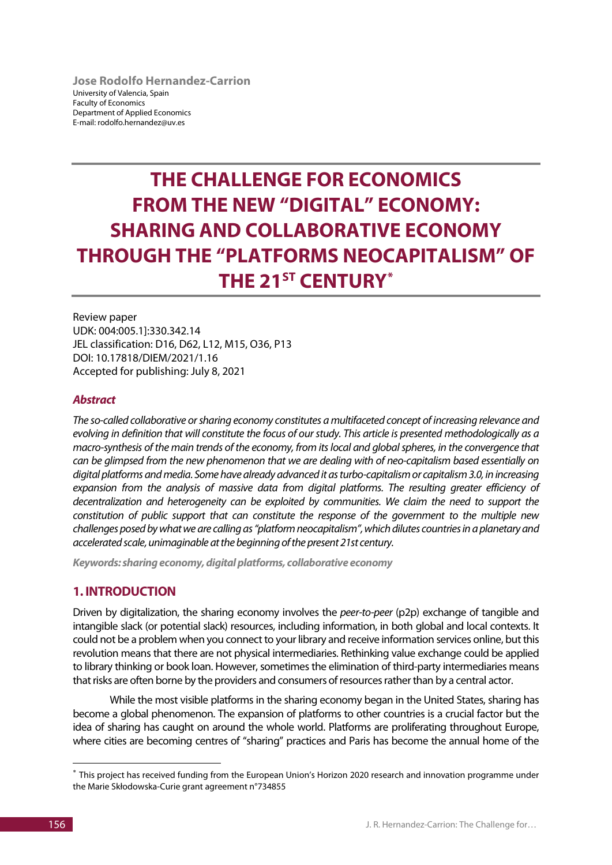**Jose Rodolfo Hernandez-Carrion** University of Valencia, Spain Faculty of Economics Department of Applied Economics E-mail: rodolfo.hernandez@uv.es

# **THE CHALLENGE FOR ECONOMICS FROM THE NEW "DIGITAL" ECONOMY: SHARING AND COLLABORATIVE ECONOMY THROUGH THE "PLATFORMS NEOCAPITALISM" OF THE 21ST CENTURY[\\*](#page-0-0)**

Review paper UDK: 004:005.1]:330.342.14 JEL classification: D16, D62, L12, M15, O36, P13 DOI: 10.17818/DIEM/2021/1.16 Accepted for publishing: July 8, 2021

#### *Abstract*

*The so-called collaborative or sharing economy constitutes a multifaceted concept of increasing relevance and evolving in definition that will constitute the focus of our study. This article is presented methodologically as a macro-synthesis of the main trends of the economy, from its local and global spheres, in the convergence that can be glimpsed from the new phenomenon that we are dealing with of neo-capitalism based essentially on digital platforms and media. Some have already advanced it as turbo-capitalism or capitalism 3.0, in increasing expansion from the analysis of massive data from digital platforms. The resulting greater efficiency of decentralization and heterogeneity can be exploited by communities. We claim the need to support the constitution of public support that can constitute the response of the government to the multiple new challenges posed by what we are calling as "platform neocapitalism", which dilutes countriesin a planetary and accelerated scale, unimaginable at the beginning of the present 21st century.*

*Keywords: sharing economy, digital platforms, collaborative economy*

## **1. INTRODUCTION**

Driven by digitalization, the sharing economy involves the *peer-to-peer* (p2p) exchange of tangible and intangible slack (or potential slack) resources, including information, in both global and local contexts. It could not be a problem when you connect to your library and receive information services online, but this revolution means that there are not physical intermediaries. Rethinking value exchange could be applied to library thinking or book loan. However, sometimes the elimination of third-party intermediaries means that risks are often borne by the providers and consumers of resources rather than by a central actor.

While the most visible platforms in the sharing economy began in the United States, sharing has become a global phenomenon. The expansion of platforms to other countries is a crucial factor but the idea of sharing has caught on around the whole world. Platforms are proliferating throughout Europe, where cities are becoming centres of "sharing" practices and Paris has become the annual home of the

<span id="page-0-0"></span> <sup>\*</sup> This project has received funding from the European Union's Horizon 2020 research and innovation programme under the Marie Skłodowska-Curie grant agreement n°734855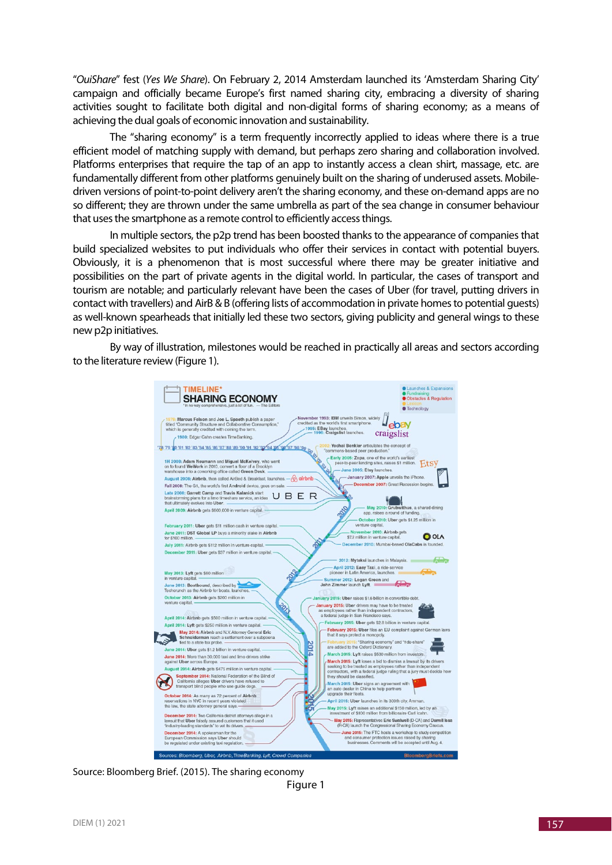"*OuiShare*" fest (*Yes We Share*). On February 2, 2014 Amsterdam launched its 'Amsterdam Sharing City' campaign and officially became Europe's first named sharing city, embracing a diversity of sharing activities sought to facilitate both digital and non-digital forms of sharing economy; as a means of achieving the dual goals of economic innovation and sustainability.

The "sharing economy" is a term frequently incorrectly applied to ideas where there is a true efficient model of matching supply with demand, but perhaps zero sharing and collaboration involved. Platforms enterprises that require the tap of an app to instantly access a clean shirt, massage, etc. are fundamentally different from other platforms genuinely built on the sharing of underused assets. Mobiledriven versions of point-to-point delivery aren't the sharing economy, and these on-demand apps are no so different; they are thrown under the same umbrella as part of the sea change in consumer behaviour that uses the smartphone as a remote control to efficiently access things.

In multiple sectors, the p2p trend has been boosted thanks to the appearance of companies that build specialized websites to put individuals who offer their services in contact with potential buyers. Obviously, it is a phenomenon that is most successful where there may be greater initiative and possibilities on the part of private agents in the digital world. In particular, the cases of transport and tourism are notable; and particularly relevant have been the cases of Uber (for travel, putting drivers in contact with travellers) and AirB & B (offering lists of accommodation in private homes to potential guests) as well-known spearheads that initially led these two sectors, giving publicity and general wings to these new p2p initiatives.

By way of illustration, milestones would be reached in practically all areas and sectors according to the literature review (Figure 1).



Source: Bloomberg Brief. (2015). The sharing economy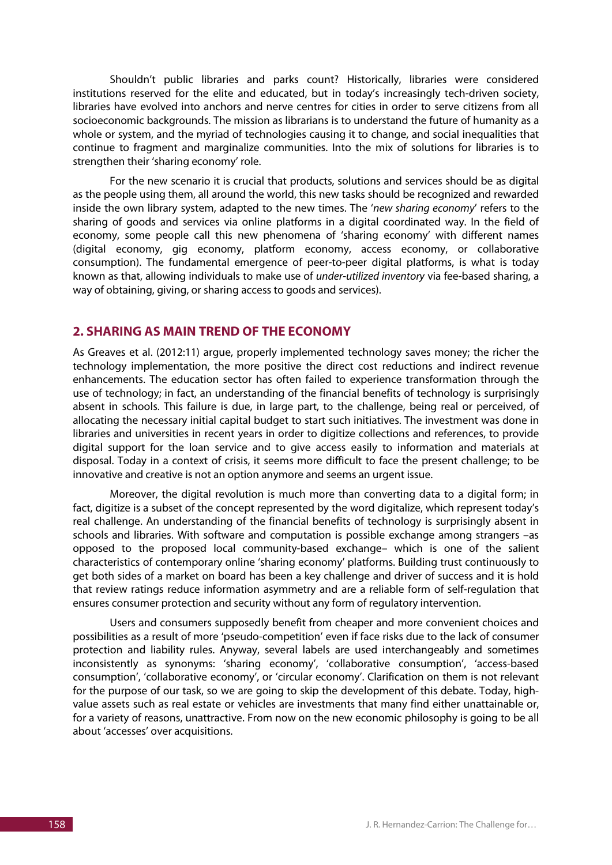Shouldn't public libraries and parks count? Historically, libraries were considered institutions reserved for the elite and educated, but in today's increasingly tech-driven society, libraries have evolved into anchors and nerve centres for cities in order to serve citizens from all socioeconomic backgrounds. The mission as librarians is to understand the future of humanity as a whole or system, and the myriad of technologies causing it to change, and social inequalities that continue to fragment and marginalize communities. Into the mix of solutions for libraries is to strengthen their 'sharing economy' role.

For the new scenario it is crucial that products, solutions and services should be as digital as the people using them, all around the world, this new tasks should be recognized and rewarded inside the own library system, adapted to the new times. The '*new sharing economy*' refers to the sharing of goods and services via online platforms in a digital coordinated way. In the field of economy, some people call this new phenomena of 'sharing economy' with different names (digital economy, gig economy, platform economy, access economy, or collaborative consumption). The fundamental emergence of peer-to-peer digital platforms, is what is today known as that, allowing individuals to make use of *under-utilized inventory* via fee-based sharing, a way of obtaining, giving, or sharing access to goods and services).

# **2. SHARING AS MAIN TREND OF THE ECONOMY**

As Greaves et al. (2012:11) argue, properly implemented technology saves money; the richer the technology implementation, the more positive the direct cost reductions and indirect revenue enhancements. The education sector has often failed to experience transformation through the use of technology; in fact, an understanding of the financial benefits of technology is surprisingly absent in schools. This failure is due, in large part, to the challenge, being real or perceived, of allocating the necessary initial capital budget to start such initiatives. The investment was done in libraries and universities in recent years in order to digitize collections and references, to provide digital support for the loan service and to give access easily to information and materials at disposal. Today in a context of crisis, it seems more difficult to face the present challenge; to be innovative and creative is not an option anymore and seems an urgent issue.

Moreover, the digital revolution is much more than converting data to a digital form; in fact, digitize is a subset of the concept represented by the word digitalize, which represent today's real challenge. An understanding of the financial benefits of technology is surprisingly absent in schools and libraries. With software and computation is possible exchange among strangers –as opposed to the proposed local community-based exchange– which is one of the salient characteristics of contemporary online 'sharing economy' platforms. Building trust continuously to get both sides of a market on board has been a key challenge and driver of success and it is hold that review ratings reduce information asymmetry and are a reliable form of self-regulation that ensures consumer protection and security without any form of regulatory intervention.

Users and consumers supposedly benefit from cheaper and more convenient choices and possibilities as a result of more 'pseudo-competition' even if face risks due to the lack of consumer protection and liability rules. Anyway, several labels are used interchangeably and sometimes inconsistently as synonyms: 'sharing economy', 'collaborative consumption', 'access-based consumption', 'collaborative economy', or 'circular economy'. Clarification on them is not relevant for the purpose of our task, so we are going to skip the development of this debate. Today, highvalue assets such as real estate or vehicles are investments that many find either unattainable or, for a variety of reasons, unattractive. From now on the new economic philosophy is going to be all about 'accesses' over acquisitions.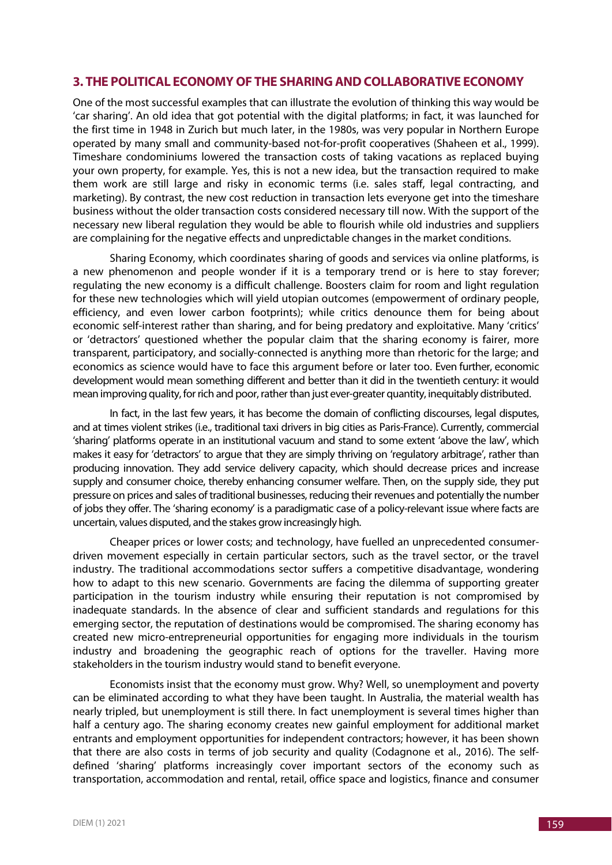## **3. THE POLITICAL ECONOMY OF THE SHARINGAND COLLABORATIVE ECONOMY**

One of the most successful examples that can illustrate the evolution of thinking this way would be 'car sharing'. An old idea that got potential with the digital platforms; in fact, it was launched for the first time in 1948 in Zurich but much later, in the 1980s, was very popular in Northern Europe operated by many small and community-based not-for-profit cooperatives (Shaheen et al., 1999). Timeshare condominiums lowered the transaction costs of taking vacations as replaced buying your own property, for example. Yes, this is not a new idea, but the transaction required to make them work are still large and risky in economic terms (i.e. sales staff, legal contracting, and marketing). By contrast, the new cost reduction in transaction lets everyone get into the timeshare business without the older transaction costs considered necessary till now. With the support of the necessary new liberal regulation they would be able to flourish while old industries and suppliers are complaining for the negative effects and unpredictable changes in the market conditions.

Sharing Economy, which coordinates sharing of goods and services via online platforms, is a new phenomenon and people wonder if it is a temporary trend or is here to stay forever; regulating the new economy is a difficult challenge. Boosters claim for room and light regulation for these new technologies which will yield utopian outcomes (empowerment of ordinary people, efficiency, and even lower carbon footprints); while critics denounce them for being about economic self-interest rather than sharing, and for being predatory and exploitative. Many 'critics' or 'detractors' questioned whether the popular claim that the sharing economy is fairer, more transparent, participatory, and socially-connected is anything more than rhetoric for the large; and economics as science would have to face this argument before or later too. Even further, economic development would mean something different and better than it did in the twentieth century: it would mean improving quality, for rich and poor, rather than just ever-greater quantity, inequitably distributed.

In fact, in the last few years, it has become the domain of conflicting discourses, legal disputes, and at times violent strikes (i.e., traditional taxi drivers in big cities as Paris-France). Currently, commercial 'sharing' platforms operate in an institutional vacuum and stand to some extent 'above the law', which makes it easy for 'detractors' to argue that they are simply thriving on 'regulatory arbitrage', rather than producing innovation. They add service delivery capacity, which should decrease prices and increase supply and consumer choice, thereby enhancing consumer welfare. Then, on the supply side, they put pressure on prices and sales of traditional businesses, reducing their revenues and potentially the number of jobs they offer. The 'sharing economy' is a paradigmatic case of a policy-relevant issue where facts are uncertain, values disputed, and the stakes grow increasingly high.

Cheaper prices or lower costs; and technology, have fuelled an unprecedented consumerdriven movement especially in certain particular sectors, such as the travel sector, or the travel industry. The traditional accommodations sector suffers a competitive disadvantage, wondering how to adapt to this new scenario. Governments are facing the dilemma of supporting greater participation in the tourism industry while ensuring their reputation is not compromised by inadequate standards. In the absence of clear and sufficient standards and regulations for this emerging sector, the reputation of destinations would be compromised. The sharing economy has created new micro-entrepreneurial opportunities for engaging more individuals in the tourism industry and broadening the geographic reach of options for the traveller. Having more stakeholders in the tourism industry would stand to benefit everyone.

Economists insist that the economy must grow. Why? Well, so unemployment and poverty can be eliminated according to what they have been taught. In Australia, the material wealth has nearly tripled, but unemployment is still there. In fact unemployment is several times higher than half a century ago. The sharing economy creates new gainful employment for additional market entrants and employment opportunities for independent contractors; however, it has been shown that there are also costs in terms of job security and quality (Codagnone et al., 2016). The selfdefined 'sharing' platforms increasingly cover important sectors of the economy such as transportation, accommodation and rental, retail, office space and logistics, finance and consumer